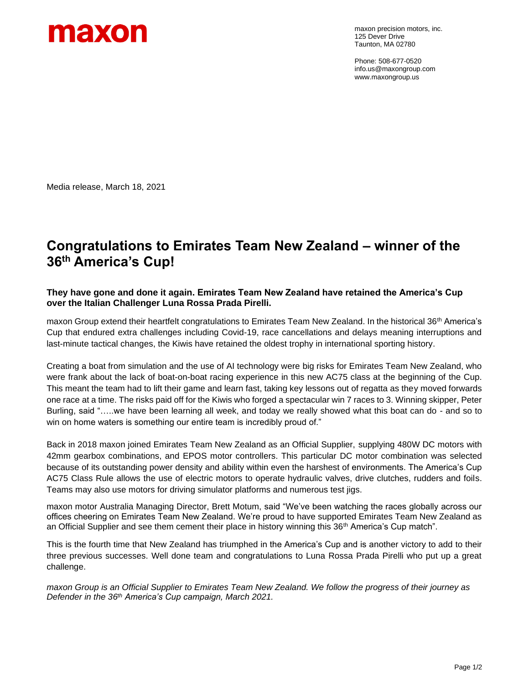

maxon precision motors, inc. 125 Dever Drive Taunton, MA 02780

Phone: 508-677-0520 info.us@maxongroup.com www.maxongroup.us

Media release, March 18, 2021

# **Congratulations to Emirates Team New Zealand – winner of the 36th America's Cup!**

## **They have gone and done it again. Emirates Team New Zealand have retained the America's Cup over the Italian Challenger Luna Rossa Prada Pirelli.**

maxon Group extend their heartfelt congratulations to Emirates Team New Zealand. In the historical 36<sup>th</sup> America's Cup that endured extra challenges including Covid-19, race cancellations and delays meaning interruptions and last-minute tactical changes, the Kiwis have retained the oldest trophy in international sporting history.

Creating a boat from simulation and the use of AI technology were big risks for Emirates Team New Zealand, who were frank about the lack of boat-on-boat racing experience in this new AC75 class at the beginning of the Cup. This meant the team had to lift their game and learn fast, taking key lessons out of regatta as they moved forwards one race at a time. The risks paid off for the Kiwis who forged a spectacular win 7 races to 3. Winning skipper, Peter Burling, said "…..we have been learning all week, and today we really showed what this boat can do - and so to win on home waters is something our entire team is incredibly proud of."

Back in 2018 maxon joined Emirates Team New Zealand as an Official Supplier, supplying 480W DC motors with 42mm gearbox combinations, and EPOS motor controllers. This particular DC motor combination was selected because of its outstanding power density and ability within even the harshest of environments. The America's Cup AC75 Class Rule allows the use of electric motors to operate hydraulic valves, drive clutches, rudders and foils. Teams may also use motors for driving simulator platforms and numerous test jigs.

maxon motor Australia Managing Director, Brett Motum, said "We've been watching the races globally across our offices cheering on Emirates Team New Zealand. We're proud to have supported Emirates Team New Zealand as an Official Supplier and see them cement their place in history winning this 36<sup>th</sup> America's Cup match".

This is the fourth time that New Zealand has triumphed in the America's Cup and is another victory to add to their three previous successes. Well done team and congratulations to Luna Rossa Prada Pirelli who put up a great challenge.

*maxon Group is an Official Supplier to Emirates Team New Zealand. We follow the progress of their journey as Defender in the 36 th America's Cup campaign, March 2021.*